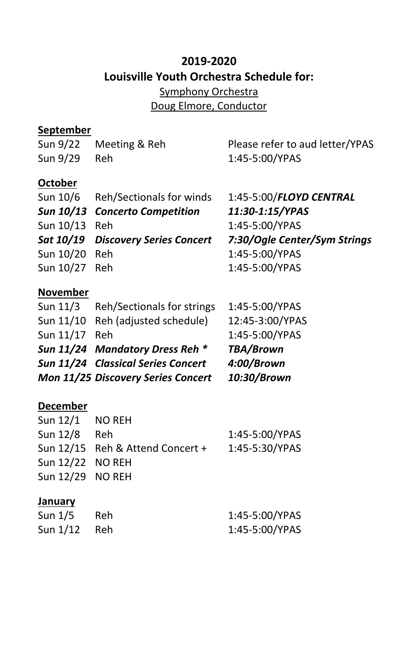# **2019-2020 Louisville Youth Orchestra Schedule for:**

Symphony Orchestra Doug Elmore, Conductor

#### **September**

| Sun 9/22        | Meeting & Reh                   | Please refer to aud letter/YPAS |
|-----------------|---------------------------------|---------------------------------|
| Sun 9/29        | Reh                             | 1:45-5:00/YPAS                  |
| <b>October</b>  |                                 |                                 |
| Sun 10/6        | Reh/Sectionals for winds        | 1:45-5:00/FLOYD CENTRAL         |
|                 | Sun 10/13 Concerto Competition  | 11:30-1:15/YPAS                 |
| Sun 10/13       | Reh                             | 1:45-5:00/YPAS                  |
| Sat 10/19       | <b>Discovery Series Concert</b> | 7:30/Ogle Center/Sym Strings    |
| Sun 10/20       | Reh                             | 1:45-5:00/YPAS                  |
| Sun 10/27       | Reh                             | 1:45-5:00/YPAS                  |
| <b>November</b> |                                 |                                 |
| Sun 11/3        | Reh/Sectionals for strings      | 1:45-5:00/YPAS                  |

|               |                                    | 1.73 J.VVIII NJ  |
|---------------|------------------------------------|------------------|
|               | Sun 11/10 Reh (adjusted schedule)  | 12:45-3:00/YPAS  |
| Sun 11/17 Reh |                                    | 1:45-5:00/YPAS   |
|               | Sun 11/24 Mandatory Dress Reh *    | <b>TBA/Brown</b> |
|               | Sun 11/24 Classical Series Concert | 4:00/Brown       |
|               | Mon 11/25 Discovery Series Concert | 10:30/Brown      |
|               |                                    |                  |

#### **December**

| Sun $12/1$ NO REH |                                  |                |
|-------------------|----------------------------------|----------------|
| Sun 12/8 Reh      |                                  | 1:45-5:00/YPAS |
|                   | Sun 12/15 Reh & Attend Concert + | 1:45-5:30/YPAS |
| Sun 12/22 NO REH  |                                  |                |
| Sun 12/29 NO REH  |                                  |                |
|                   |                                  |                |

#### **January**

| Sun 1/5        | - Reh | 1:45-5:00/YPAS |
|----------------|-------|----------------|
| Sun $1/12$ Reh |       | 1:45-5:00/YPAS |